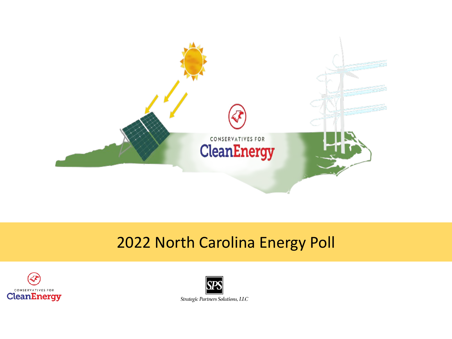

### 2022 North Carolina Energy Poll



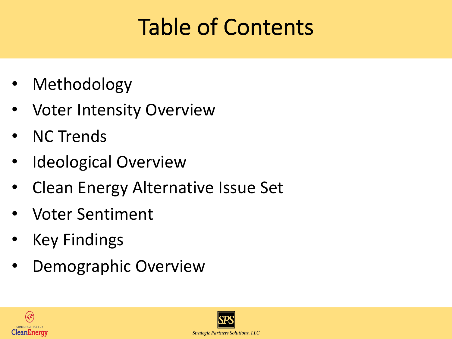## Table of Contents

- Methodology
- Voter Intensity Overview
- NC Trends
- Ideological Overview
- Clean Energy Alternative Issue Set
- Voter Sentiment
- Key Findings
- Demographic Overview



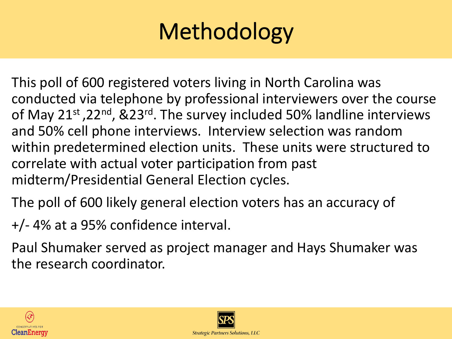# Methodology

This poll of 600 registered voters living in North Carolina was conducted via telephone by professional interviewers over the course of May 21<sup>st</sup>, 22<sup>nd</sup>, &23<sup>rd</sup>. The survey included 50% landline interviews and 50% cell phone interviews. Interview selection was random within predetermined election units. These units were structured to correlate with actual voter participation from past midterm/Presidential General Election cycles.

The poll of 600 likely general election voters has an accuracy of

+/- 4% at a 95% confidence interval.

Paul Shumaker served as project manager and Hays Shumaker was the research coordinator.



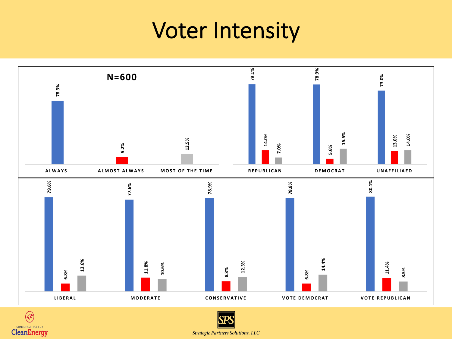### Voter Intensity





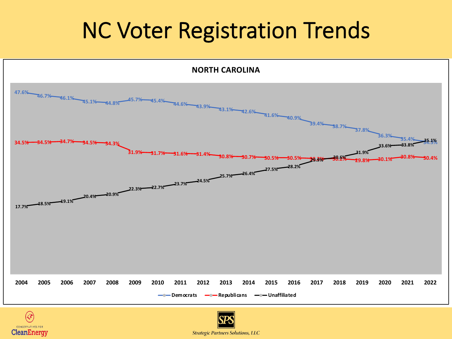### NC Voter Registration Trends





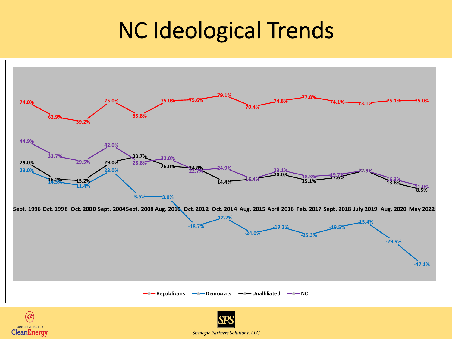## NC Ideological Trends





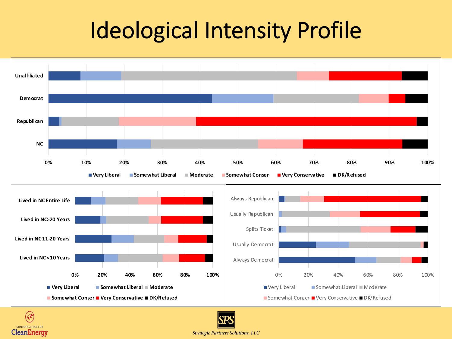## Ideological Intensity Profile





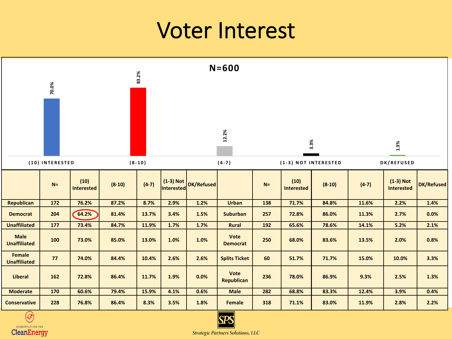### Voter Interest



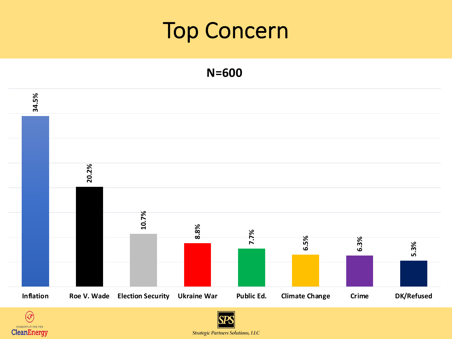### Top Concern

**N=600**





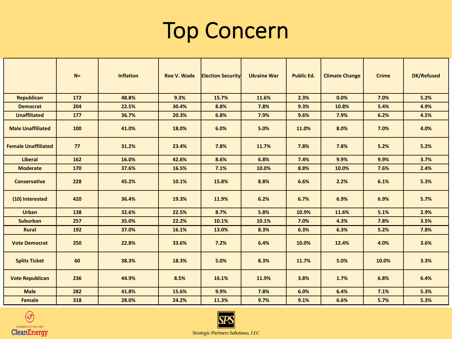### Top Concern

|                            | $N =$ | <b>Inflation</b> | Roe V. Wade | <b>Election Security</b> | <b>Ukraine War</b> | <b>Public Ed.</b> | <b>Climate Change</b> | <b>Crime</b> | <b>DK/Refused</b> |
|----------------------------|-------|------------------|-------------|--------------------------|--------------------|-------------------|-----------------------|--------------|-------------------|
| <b>Republican</b>          | 172   | 48.8%            | 9.3%        | 15.7%                    | 11.6%              | 2.3%              | 0.0%                  | 7.0%         | 5.2%              |
| <b>Democrat</b>            | 204   | 22.5%            | 30.4%       | 8.8%                     | 7.8%               | 9.3%              | 10.8%                 | 5.4%         | 4.9%              |
| <b>Unaffiliated</b>        | 177   | 36.7%            | 20.3%       | 6.8%                     | 7.9%               | 9.6%              | 7.9%                  | 6.2%         | 4.5%              |
| <b>Male Unaffiliated</b>   | 100   | 41.0%            | 18.0%       | 6.0%                     | 5.0%               | 11.0%             | 8.0%                  | 7.0%         | 4.0%              |
| <b>Female Unaffiliated</b> | 77    | 31.2%            | 23.4%       | 7.8%                     | 11.7%              | 7.8%              | 7.8%                  | 5.2%         | 5.2%              |
| <b>Liberal</b>             | 162   | 16.0%            | 42.6%       | 8.6%                     | 6.8%               | 7.4%              | 9.9%                  | 9.9%         | 3.7%              |
| <b>Moderate</b>            | 170   | 37.6%            | 16.5%       | 7.1%                     | 10.0%              | 8.8%              | 10.0%                 | 7.6%         | 2.4%              |
| <b>Conservative</b>        | 228   | 45.2%            | 10.1%       | 15.8%                    | 8.8%               | 6.6%              | 2.2%                  | 6.1%         | 5.3%              |
| (10) Interested            | 420   | 36.4%            | 19.3%       | 11.9%                    | 6.2%               | 6.7%              | 6.9%                  | 6.9%         | 5.7%              |
| <b>Urban</b>               | 138   | 32.6%            | 22.5%       | 8.7%                     | 5.8%               | 10.9%             | 11.6%                 | 5.1%         | 2.9%              |
| <b>Suburban</b>            | 257   | 35.0%            | 22.2%       | 10.1%                    | 10.1%              | 7.0%              | 4.3%                  | 7.8%         | 3.5%              |
| Rural                      | 192   | 37.0%            | 16.1%       | 13.0%                    | 8.3%               | 6.3%              | 6.3%                  | 5.2%         | 7.8%              |
| <b>Vote Democrat</b>       | 250   | 22.8%            | 33.6%       | 7.2%                     | 6.4%               | 10.0%             | 12.4%                 | 4.0%         | 3.6%              |
| <b>Splits Ticket</b>       | 60    | 38.3%            | 18.3%       | 5.0%                     | 8.3%               | 11.7%             | 5.0%                  | 10.0%        | 3.3%              |
| <b>Vote Republican</b>     | 236   | 44.9%            | 8.5%        | 16.1%                    | 11.9%              | 3.8%              | 1.7%                  | 6.8%         | 6.4%              |
| <b>Male</b>                | 282   | 41.8%            | 15.6%       | 9.9%                     | 7.8%               | 6.0%              | 6.4%                  | 7.1%         | 5.3%              |
| <b>Female</b>              | 318   | 28.0%            | 24.2%       | 11.3%                    | 9.7%               | 9.1%              | 6.6%                  | 5.7%         | 5.3%              |



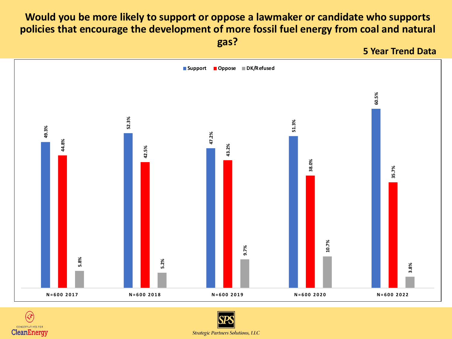### **Would you be more likely to support or oppose a lawmaker or candidate who supports policies that encourage the development of more fossil fuel energy from coal and natural**

**gas?**

**5 Year Trend Data**





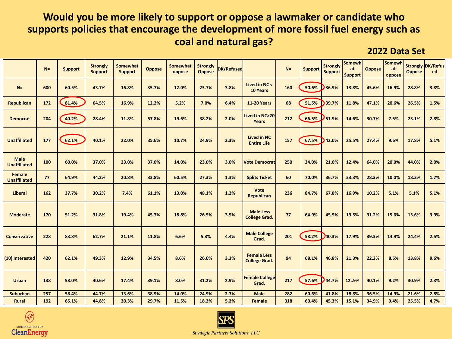#### **Would you be more likely to support or oppose a lawmaker or candidate who supports policies that encourage the development of more fossil fuel energy such as coal and natural gas?**

**2022 Data Set**

|                                    | $N =$ | <b>Support</b> | <b>Strongly</b><br><b>Support</b> | Somewhat<br><b>Support</b> | <b>Oppose</b> | Somewhat<br>oppose | <b>Strongly</b><br><b>Oppose</b> | <b>DK/Refused</b> |                                            | $N =$ | <b>Support</b> | <b>Strongly</b><br><b>Support</b> | Somewh<br>at<br><b>Support</b> | <b>Oppose</b> | Somewh<br>at<br>oppose | <b>Oppose</b> | <b>Strongly DK/Refus</b><br>ed |
|------------------------------------|-------|----------------|-----------------------------------|----------------------------|---------------|--------------------|----------------------------------|-------------------|--------------------------------------------|-------|----------------|-----------------------------------|--------------------------------|---------------|------------------------|---------------|--------------------------------|
| $N =$                              | 600   | 60.5%          | 43.7%                             | 16.8%                      | 35.7%         | 12.0%              | 23.7%                            | 3.8%              | Lived in NC <<br>10 Years                  | 160   | 50.6%          | 36.9%                             | 13.8%                          | 45.6%         | 16.9%                  | 28.8%         | 3.8%                           |
| <b>Republican</b>                  | 172   | 81.4%          | 64.5%                             | 16.9%                      | 12.2%         | 5.2%               | 7.0%                             | 6.4%              | <b>11-20 Years</b>                         | 68    | 51.5%          | 39.7%                             | 11.8%                          | 47.1%         | 20.6%                  | 26.5%         | 1.5%                           |
| <b>Democrat</b>                    | 204   | 40.2%          | 28.4%                             | 11.8%                      | 57.8%         | 19.6%              | 38.2%                            | 2.0%              | Lived in NC>20<br>Years                    | 212   | 66.5%          | 51.9%                             | 14.6%                          | 30.7%         | 7.5%                   | 23.1%         | 2.8%                           |
| <b>Unaffiliated</b>                | 177   | 62.1%          | 40.1%                             | 22.0%                      | 35.6%         | 10.7%              | 24.9%                            | 2.3%              | <b>Lived in NC</b><br><b>Entire Life</b>   | 157   | 67.5%          | 42.0%                             | 25.5%                          | 27.4%         | 9.6%                   | 17.8%         | 5.1%                           |
| <b>Male</b><br><b>Unaffiliated</b> | 100   | 60.0%          | 37.0%                             | 23.0%                      | 37.0%         | 14.0%              | 23.0%                            | 3.0%              | <b>Vote Democrat</b>                       | 250   | 34.0%          | 21.6%                             | 12.4%                          | 64.0%         | 20.0%                  | 44.0%         | 2.0%                           |
| Female<br><b>Unaffiliated</b>      | 77    | 64.9%          | 44.2%                             | 20.8%                      | 33.8%         | 60.5%              | 27.3%                            | 1.3%              | <b>Splits Ticket</b>                       | 60    | 70.0%          | 36.7%                             | 33.3%                          | 28.3%         | 10.0%                  | 18.3%         | 1.7%                           |
| <b>Liberal</b>                     | 162   | 37.7%          | 30.2%                             | 7.4%                       | 61.1%         | 13.0%              | 48.1%                            | 1.2%              | Vote<br><b>Republican</b>                  | 236   | 84.7%          | 67.8%                             | 16.9%                          | 10.2%         | 5.1%                   | 5.1%          | 5.1%                           |
| <b>Moderate</b>                    | 170   | 51.2%          | 31.8%                             | 19.4%                      | 45.3%         | 18.8%              | 26.5%                            | 3.5%              | <b>Male Less</b><br><b>College Grad.</b>   | 77    | 64.9%          | 45.5%                             | 19.5%                          | 31.2%         | 15.6%                  | 15.6%         | 3.9%                           |
| <b>Conservative</b>                | 228   | 83.8%          | 62.7%                             | 21.1%                      | 11.8%         | 6.6%               | 5.3%                             | 4.4%              | <b>Male College</b><br>Grad.               | 201   | 58.2%          | 40.3%                             | 17.9%                          | 39.3%         | 14.9%                  | 24.4%         | 2.5%                           |
| (10) Interested                    | 420   | 62.1%          | 49.3%                             | 12.9%                      | 34.5%         | 8.6%               | 26.0%                            | 3.3%              | <b>Female Less</b><br><b>College Grad.</b> | 94    | 68.1%          | 46.8%                             | 21.3%                          | 22.3%         | 8.5%                   | 13.8%         | 9.6%                           |
| <b>Urban</b>                       | 138   | 58.0%          | 40.6%                             | 17.4%                      | 39.1%         | 8.0%               | 31.2%                            | 2.9%              | <b>Female College</b><br>Grad.             | 217   | 57.6%          | 44.7%                             | 129%                           | 40.1%         | 9.2%                   | 30.9%         | 2.3%                           |
| <b>Suburban</b>                    | 257   | 58.4%          | 44.7%                             | 13.6%                      | 38.9%         | 14.0%              | 24.9%                            | 2.7%              | <b>Male</b>                                | 282   | 60.6%          | 41.8%                             | 18.8%                          | 36.5%         | 14.9%                  | 21.6%         | 2.8%                           |
| <b>Rural</b>                       | 192   | 65.1%          | 44.8%                             | 20.3%                      | 29.7%         | 11.5%              | 18.2%                            | 5.2%              | <b>Female</b>                              | 318   | 60.4%          | 45.3%                             | 15.1%                          | 34.9%         | 9.4%                   | 25.5%         | 4.7%                           |



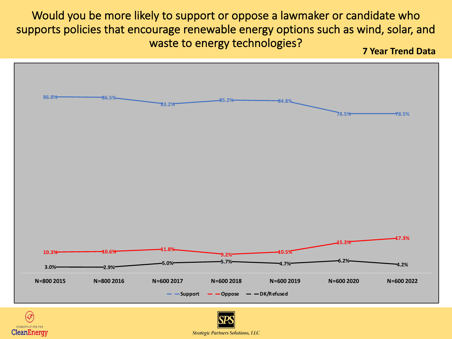Would you be more likely to support or oppose a lawmaker or candidate who supports policies that encourage renewable energy options such as wind, solar, and waste to energy technologies? **7 Year Trend Data**





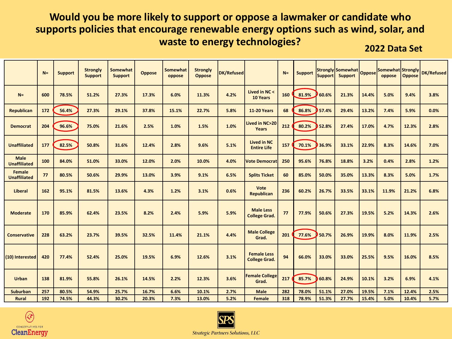### **Would you be more likely to support or oppose a lawmaker or candidate who supports policies that encourage renewable energy options such as wind, solar, and waste to energy technologies? 2022 Data Set**

|                                      | $N =$ | <b>Support</b> | <b>Strongly</b><br><b>Support</b> | Somewhat<br><b>Support</b> | <b>Oppose</b> | Somewhat<br>oppose | <b>Strongly</b><br><b>Oppose</b> | DK/Refused |                                            | $N =$ | <b>Support</b> | <b>Support</b> | Strongly Somewhat Oppose<br><b>Support</b> |       | Somewhat Strongly<br>oppose | <b>Oppose</b> | <b>DK/Refused</b> |
|--------------------------------------|-------|----------------|-----------------------------------|----------------------------|---------------|--------------------|----------------------------------|------------|--------------------------------------------|-------|----------------|----------------|--------------------------------------------|-------|-----------------------------|---------------|-------------------|
| $N=$                                 | 600   | 78.5%          | 51.2%                             | 27.3%                      | 17.3%         | 6.0%               | 11.3%                            | 4.2%       | Lived in NC <<br>10 Years                  | 160   | 81.9%          | 60.6%          | 21.3%                                      | 14.4% | 5.0%                        | 9.4%          | 3.8%              |
| Republican                           | 172   | 56.4%          | 27.3%                             | 29.1%                      | 37.8%         | 15.1%              | 22.7%                            | 5.8%       | <b>11-20 Years</b>                         | 68    | 86.8%          | 57.4%          | 29.4%                                      | 13.2% | 7.4%                        | 5.9%          | 0.0%              |
| <b>Democrat</b>                      | 204   | 96.6%          | 75.0%                             | 21.6%                      | 2.5%          | 1.0%               | 1.5%                             | 1.0%       | Lived in NC>20<br>Years                    | 212   | 80.2%          | 52.8%          | 27.4%                                      | 17.0% | 4.7%                        | 12.3%         | 2.8%              |
| <b>Unaffiliated</b>                  | 177   | 82.5%          | 50.8%                             | 31.6%                      | 12.4%         | 2.8%               | 9.6%                             | 5.1%       | <b>Lived in NC</b><br><b>Entire Life</b>   | 157   | 70.1%          | 36.9%          | 33.1%                                      | 22.9% | 8.3%                        | 14.6%         | 7.0%              |
| <b>Male</b><br><b>Unaffiliated</b>   | 100   | 84.0%          | 51.0%                             | 33.0%                      | 12.0%         | 2.0%               | 10.0%                            | 4.0%       | <b>Vote Democrat</b>                       | 250   | 95.6%          | 76.8%          | 18.8%                                      | 3.2%  | 0.4%                        | 2.8%          | 1.2%              |
| <b>Female</b><br><b>Unaffiliated</b> | 77    | 80.5%          | 50.6%                             | 29.9%                      | 13.0%         | 3.9%               | 9.1%                             | 6.5%       | <b>Splits Ticket</b>                       | 60    | 85.0%          | 50.0%          | 35.0%                                      | 13.3% | 8.3%                        | 5.0%          | 1.7%              |
| <b>Liberal</b>                       | 162   | 95.1%          | 81.5%                             | 13.6%                      | 4.3%          | 1.2%               | 3.1%                             | 0.6%       | Vote<br><b>Republican</b>                  | 236   | 60.2%          | 26.7%          | 33.5%                                      | 33.1% | 11.9%                       | 21.2%         | 6.8%              |
| <b>Moderate</b>                      | 170   | 85.9%          | 62.4%                             | 23.5%                      | 8.2%          | 2.4%               | 5.9%                             | 5.9%       | <b>Male Less</b><br><b>College Grad.</b>   | 77    | 77.9%          | 50.6%          | 27.3%                                      | 19.5% | 5.2%                        | 14.3%         | 2.6%              |
| <b>Conservative</b>                  | 228   | 63.2%          | 23.7%                             | 39.5%                      | 32.5%         | 11.4%              | 21.1%                            | 4.4%       | <b>Male College</b><br>Grad.               | 201   | 77.6%          | 50.7%          | 26.9%                                      | 19.9% | 8.0%                        | 11.9%         | 2.5%              |
| (10) Interested                      | 420   | 77.4%          | 52.4%                             | 25.0%                      | 19.5%         | 6.9%               | 12.6%                            | 3.1%       | <b>Female Less</b><br><b>College Grad.</b> | 94    | 66.0%          | 33.0%          | 33.0%                                      | 25.5% | 9.5%                        | 16.0%         | 8.5%              |
| <b>Urban</b>                         | 138   | 81.9%          | 55.8%                             | 26.1%                      | 14.5%         | 2.2%               | 12.3%                            | 3.6%       | <b>Female College</b><br>Grad.             | 217   | 85.7%          | 60.8%          | 24.9%                                      | 10.1% | 3.2%                        | 6.9%          | 4.1%              |
| <b>Suburban</b>                      | 257   | 80.5%          | 54.9%                             | 25.7%                      | 16.7%         | 6.6%               | 10.1%                            | 2.7%       | Male                                       | 282   | 78.0%          | 51.1%          | 27.0%                                      | 19.5% | 7.1%                        | 12.4%         | 2.5%              |
| Rural                                | 192   | 74.5%          | 44.3%                             | 30.2%                      | 20.3%         | 7.3%               | 13.0%                            | 5.2%       | Female                                     | 318   | 78.9%          | 51.3%          | 27.7%                                      | 15.4% | 5.0%                        | 10.4%         | 5.7%              |



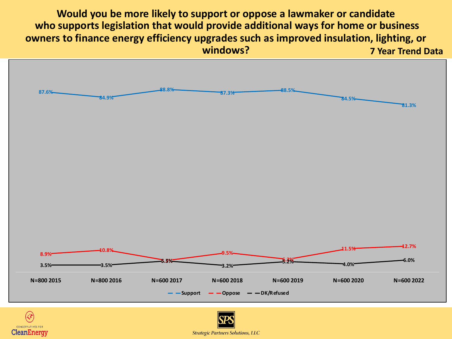**Would you be more likely to support or oppose a lawmaker or candidate who supports legislation that would provide additional ways for home or business owners to finance energy efficiency upgrades such as improved insulation, lighting, or windows? 7 Year Trend Data**



**CONSERVATIVES** CleanEnergy

**Strategic Partners Solutions, LLC**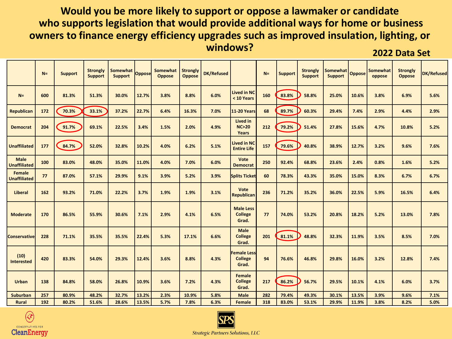#### **Would you be more likely to support or oppose a lawmaker or candidate who supports legislation that would provide additional ways for home or business owners to finance energy efficiency upgrades such as improved insulation, lighting, or windows? 2022 Data Set**

|                                      | $N=$ | <b>Support</b> | <b>Strongly</b><br><b>Support</b> | Somewhat<br><b>Support</b> | <b>Oppose</b> | Somewhat<br>Oppose | <b>Strongly</b><br><b>Oppose</b> | <b>DK/Refused</b> |                                               | $N =$ | <b>Support</b> | <b>Strongly</b><br><b>Support</b> | Somewhat<br><b>Support</b> | <b>Oppose</b> | Somewhat<br>oppose | <b>Strongly</b><br><b>Oppose</b> | <b>DK/Refused</b> |
|--------------------------------------|------|----------------|-----------------------------------|----------------------------|---------------|--------------------|----------------------------------|-------------------|-----------------------------------------------|-------|----------------|-----------------------------------|----------------------------|---------------|--------------------|----------------------------------|-------------------|
| $N=$                                 | 600  | 81.3%          | 51.3%                             | 30.0%                      | 12.7%         | 3.8%               | 8.8%                             | 6.0%              | <b>Lived in NC</b><br>< 10 Years              | 160   | 83.8%          | 58.8%                             | 25.0%                      | 10.6%         | 3.8%               | 6.9%                             | 5.6%              |
| <b>Republican</b>                    | 172  | 70.3%          | 33.1%                             | 37.2%                      | 22.7%         | 6.4%               | 16.3%                            | 7.0%              | <b>11-20 Years</b>                            | 68    | 89.7%          | 60.3%                             | 29.4%                      | 7.4%          | 2.9%               | 4.4%                             | 2.9%              |
| <b>Democrat</b>                      | 204  | 91.7%          | 69.1%                             | 22.5%                      | 3.4%          | 1.5%               | 2.0%                             | 4.9%              | Lived in<br>NC > 20<br>Years                  | 212   | 79.2%          | 51.4%                             | 27.8%                      | 15.6%         | 4.7%               | 10.8%                            | 5.2%              |
| <b>Unaffiliated</b>                  | 177  | 84.7%          | 52.0%                             | 32.8%                      | 10.2%         | 4.0%               | 6.2%                             | 5.1%              | <b>Lived in NC</b><br><b>Entire Life</b>      | 157   | 79.6%          | 40.8%                             | 38.9%                      | 12.7%         | 3.2%               | 9.6%                             | 7.6%              |
| <b>Male</b><br><b>Unaffiliated</b>   | 100  | 83.0%          | 48.0%                             | 35.0%                      | 11.0%         | 4.0%               | 7.0%                             | 6.0%              | Vote<br><b>Democrat</b>                       | 250   | 92.4%          | 68.8%                             | 23.6%                      | 2.4%          | 0.8%               | 1.6%                             | 5.2%              |
| <b>Female</b><br><b>Unaffiliated</b> | 77   | 87.0%          | 57.1%                             | 29.9%                      | 9.1%          | 3.9%               | 5.2%                             | 3.9%              | <b>Splits Ticket</b>                          | 60    | 78.3%          | 43.3%                             | 35.0%                      | 15.0%         | 8.3%               | 6.7%                             | 6.7%              |
| Liberal                              | 162  | 93.2%          | 71.0%                             | 22.2%                      | 3.7%          | 1.9%               | 1.9%                             | 3.1%              | Vote<br><b>Republican</b>                     | 236   | 71.2%          | 35.2%                             | 36.0%                      | 22.5%         | 5.9%               | 16.5%                            | 6.4%              |
| <b>Moderate</b>                      | 170  | 86.5%          | 55.9%                             | 30.6%                      | 7.1%          | 2.9%               | 4.1%                             | 6.5%              | <b>Male Less</b><br><b>College</b><br>Grad.   | 77    | 74.0%          | 53.2%                             | 20.8%                      | 18.2%         | 5.2%               | 13.0%                            | 7.8%              |
| <b>Conservative</b>                  | 228  | 71.1%          | 35.5%                             | 35.5%                      | 22.4%         | 5.3%               | 17.1%                            | 6.6%              | <b>Male</b><br><b>College</b><br>Grad.        | 201   | 81.1%          | 48.8%                             | 32.3%                      | 11.9%         | 3.5%               | 8.5%                             | 7.0%              |
| (10)<br><b>Interested</b>            | 420  | 83.3%          | 54.0%                             | 29.3%                      | 12.4%         | 3.6%               | 8.8%                             | 4.3%              | <b>Female Less</b><br><b>College</b><br>Grad. | 94    | 76.6%          | 46.8%                             | 29.8%                      | 16.0%         | 3.2%               | 12.8%                            | 7.4%              |
| <b>Urban</b>                         | 138  | 84.8%          | 58.0%                             | 26.8%                      | 10.9%         | 3.6%               | 7.2%                             | 4.3%              | <b>Female</b><br><b>College</b><br>Grad.      | 217   | 86.2%          | 56.7%                             | 29.5%                      | 10.1%         | 4.1%               | 6.0%                             | 3.7%              |
| Suburban                             | 257  | 80.9%          | 48.2%                             | 32.7%                      | 13.2%         | 2.3%               | 10.9%                            | 5.8%              | <b>Male</b>                                   | 282   | 79.4%          | 49.3%                             | 30.1%                      | 13.5%         | 3.9%               | 9.6%                             | 7.1%              |
| Rural                                | 192  | 80.2%          | 51.6%                             | 28.6%                      | 13.5%         | 5.7%               | 7.8%                             | 6.3%              | Female                                        | 318   | 83.0%          | 53.1%                             | 29.9%                      | 11.9%         | 3.8%               | 8.2%                             | 5.0%              |



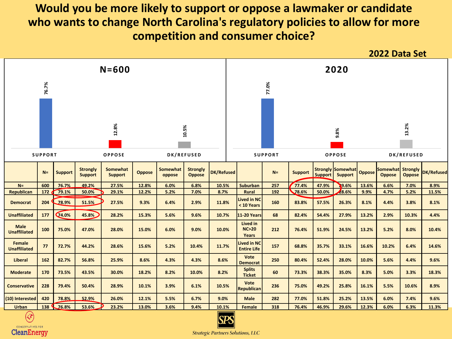### **Would you be more likely to support or oppose a lawmaker or candidate who wants to change North Carolina's regulatory policies to allow for more competition and consumer choice?**



CONSERVATIVES FOR **CleanEnergy** 

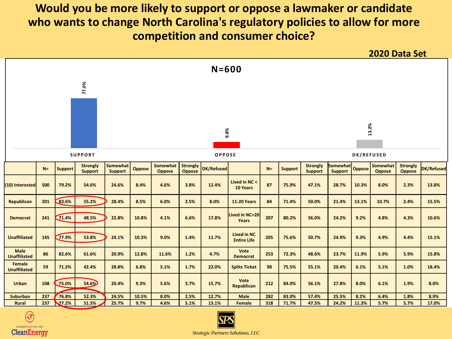### **Would you be more likely to support or oppose a lawmaker or candidate who wants to change North Carolina's regulatory policies to allow for more competition and consumer choice?**





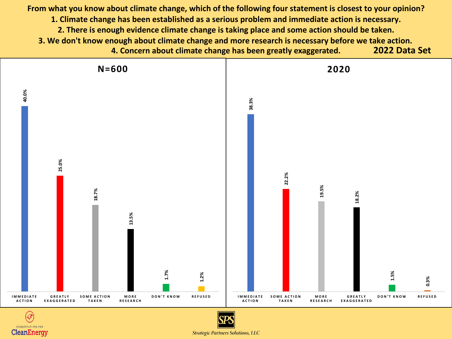**From what you know about climate change, which of the following four statement is closest to your opinion? 1. Climate change has been established as a serious problem and immediate action is necessary. 2. There is enough evidence climate change is taking place and some action should be taken. 3. We don't know enough about climate change and more research is necessary before we take action. 4. Concern about climate change has been greatly exaggerated. 2022 Data Set**





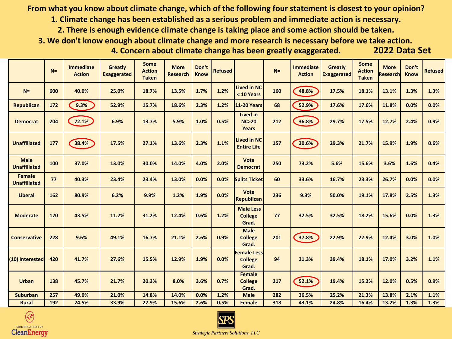**From what you know about climate change, which of the following four statement is closest to your opinion?**

**1. Climate change has been established as a serious problem and immediate action is necessary.**

**2. There is enough evidence climate change is taking place and some action should be taken.**

**3. We don't know enough about climate change and more research is necessary before we take action.**

**4. Concern about climate change has been greatly exaggerated.** 

|  | 2022 Data Set |  |  |  |
|--|---------------|--|--|--|
|  |               |  |  |  |

|                                      | $N=$ | <b>Immediate</b><br><b>Action</b> | <b>Greatly</b><br><b>Exaggerated</b> | <b>Some</b><br><b>Action</b><br><b>Taken</b> | <b>More</b><br><b>Research</b> | Don't<br><b>Know</b> | <b>Refused</b> |                                               | $N=$ | <b>Immediate</b><br><b>Action</b> | <b>Greatly</b><br><b>Exaggerated</b> | <b>Some</b><br><b>Action</b><br><b>Taken</b> | <b>More</b><br><b>Research</b> | Don't<br><b>Know</b> | <b>Refused</b> |
|--------------------------------------|------|-----------------------------------|--------------------------------------|----------------------------------------------|--------------------------------|----------------------|----------------|-----------------------------------------------|------|-----------------------------------|--------------------------------------|----------------------------------------------|--------------------------------|----------------------|----------------|
| $N=$                                 | 600  | 40.0%                             | 25.0%                                | 18.7%                                        | 13.5%                          | 1.7%                 | 1.2%           | <b>Lived in NC</b><br>< 10 Years              | 160  | 48.8%                             | 17.5%                                | 18.1%                                        | 13.1%                          | 1.3%                 | 1.3%           |
| <b>Republican</b>                    | 172  | 9.3%                              | 52.9%                                | 15.7%                                        | 18.6%                          | 2.3%                 | 1.2%           | <b>11-20 Years</b>                            | 68   | 52.9%                             | 17.6%                                | 17.6%                                        | 11.8%                          | 0.0%                 | 0.0%           |
| <b>Democrat</b>                      | 204  | 72.1%                             | 6.9%                                 | 13.7%                                        | 5.9%                           | 1.0%                 | 0.5%           | Lived in<br>NC > 20<br>Years                  | 212  | 36.8%                             | 29.7%                                | 17.5%                                        | 12.7%                          | 2.4%                 | 0.9%           |
| <b>Unaffiliated</b>                  | 177  | 38.4%                             | 17.5%                                | 27.1%                                        | 13.6%                          | 2.3%                 | 1.1%           | <b>Lived in NC</b><br><b>Entire Life</b>      | 157  | 30.6%                             | 29.3%                                | 21.7%                                        | 15.9%                          | 1.9%                 | 0.6%           |
| <b>Male</b><br><b>Unaffiliated</b>   | 100  | 37.0%                             | 13.0%                                | 30.0%                                        | 14.0%                          | 4.0%                 | 2.0%           | Vote<br><b>Democrat</b>                       | 250  | 73.2%                             | 5.6%                                 | 15.6%                                        | 3.6%                           | 1.6%                 | 0.4%           |
| <b>Female</b><br><b>Unaffiliated</b> | 77   | 40.3%                             | 23.4%                                | 23.4%                                        | 13.0%                          | 0.0%                 | 0.0%           | <b>Splits Ticket</b>                          | 60   | 33.6%                             | 16.7%                                | 23.3%                                        | 26.7%                          | 0.0%                 | 0.0%           |
| <b>Liberal</b>                       | 162  | 80.9%                             | 6.2%                                 | 9.9%                                         | 1.2%                           | 1.9%                 | 0.0%           | <b>Vote</b><br><b>Republican</b>              | 236  | 9.3%                              | 50.0%                                | 19.1%                                        | 17.8%                          | 2.5%                 | 1.3%           |
| <b>Moderate</b>                      | 170  | 43.5%                             | 11.2%                                | 31.2%                                        | 12.4%                          | 0.6%                 | 1.2%           | <b>Male Less</b><br><b>College</b><br>Grad.   | 77   | 32.5%                             | 32.5%                                | 18.2%                                        | 15.6%                          | 0.0%                 | 1.3%           |
| <b>Conservative</b>                  | 228  | 9.6%                              | 49.1%                                | 16.7%                                        | 21.1%                          | 2.6%                 | 0.9%           | <b>Male</b><br><b>College</b><br>Grad.        | 201  | 37.8%                             | 22.9%                                | 22.9%                                        | 12.4%                          | 3.0%                 | 1.0%           |
| (10) Interested                      | 420  | 41.7%                             | 27.6%                                | 15.5%                                        | 12.9%                          | 1.9%                 | 0.0%           | <b>Female Less</b><br><b>College</b><br>Grad. | 94   | 21.3%                             | 39.4%                                | 18.1%                                        | 17.0%                          | 3.2%                 | 1.1%           |
| <b>Urban</b>                         | 138  | 45.7%                             | 21.7%                                | 20.3%                                        | 8.0%                           | 3.6%                 | 0.7%           | <b>Female</b><br><b>College</b><br>Grad.      | 217  | 52.1%                             | 19.4%                                | 15.2%                                        | 12.0%                          | 0.5%                 | 0.9%           |
| <b>Suburban</b>                      | 257  | 49.0%                             | 21.0%                                | 14.8%                                        | 14.0%                          | 0.0%                 | 1.2%           | <b>Male</b>                                   | 282  | 36.5%                             | 25.2%                                | 21.3%                                        | 13.8%                          | 2.1%                 | 1.1%           |
| <b>Rural</b>                         | 192  | 24.5%                             | 33.9%                                | 22.9%                                        | 15.6%                          | 2.6%                 | 0.5%           | <b>Female</b>                                 | 318  | 43.1%                             | 24.8%                                | 16.4%                                        | 13.2%                          | 1.3%                 | 1.3%           |



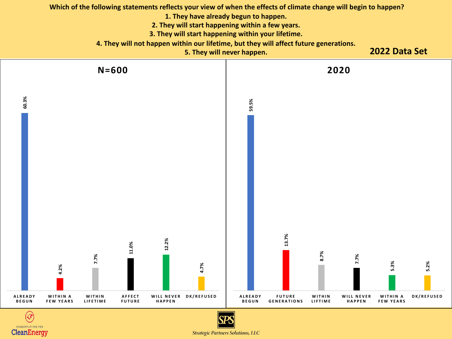

**CONSERVATIVES FOR CleanEnergy** 

**Strategic Partners Solutions, LLC**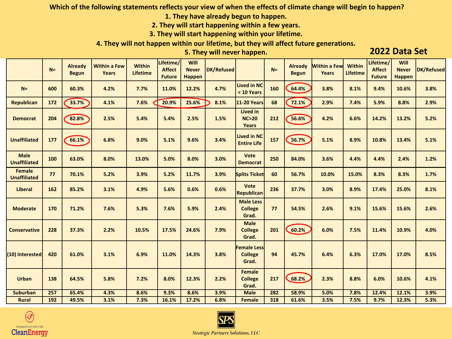**Which of the following statements reflects your view of when the effects of climate change will begin to happen?**

**1. They have already begun to happen.**

**2. They will start happening within a few years.**

**3. They will start happening within your lifetime.**

**4. They will not happen within our lifetime, but they will affect future generations.**

**5. They will never happen. 2022 Data Set**

|                                      | $N=$ | <b>Already</b><br><b>Begun</b> | <b>Within a Few</b><br><b>Years</b> | <b>Within</b><br><b>Lifetime</b> | Lifetime/<br><b>Affect</b><br><b>Future</b> | Will<br><b>Never</b><br><b>Happen</b> | DK/Refused |                                               | $N=$ | <b>Already</b><br><b>Begun</b> | <b>Within a Few</b><br><b>Years</b> | <b>Within</b><br><b>Lifetime</b> | Lifetime/<br><b>Affect</b><br><b>Future</b> | Will<br><b>Never</b><br><b>Happen</b> | DK/Refused |
|--------------------------------------|------|--------------------------------|-------------------------------------|----------------------------------|---------------------------------------------|---------------------------------------|------------|-----------------------------------------------|------|--------------------------------|-------------------------------------|----------------------------------|---------------------------------------------|---------------------------------------|------------|
| $N=$                                 | 600  | 60.3%                          | 4.2%                                | 7.7%                             | 11.0%                                       | 12.2%                                 | 4.7%       | <b>Lived in NC</b><br>< 10 Years              | 160  | 64.4%                          | 3.8%                                | 8.1%                             | 9.4%                                        | 10.6%                                 | 3.8%       |
| <b>Republican</b>                    | 172  | 33.7%                          | 4.1%                                | 7.6%                             | 20.9%                                       | 25.6%                                 | 8.1%       | <b>11-20 Years</b>                            | 68   | 72.1%                          | 2.9%                                | 7.4%                             | 5.9%                                        | 8.8%                                  | 2.9%       |
| <b>Democrat</b>                      | 204  | 82.8%                          | 2.5%                                | 5.4%                             | 5.4%                                        | 2.5%                                  | 1.5%       | <b>Lived in</b><br>NC > 20<br>Years           | 212  | 56.6%                          | 4.2%                                | 6.6%                             | 14.2%                                       | 13.2%                                 | 5.2%       |
| <b>Unaffiliated</b>                  | 177  | 66.1%                          | 6.8%                                | 9.0%                             | 5.1%                                        | 9.6%                                  | 3.4%       | <b>Lived in NC</b><br><b>Entire Life</b>      | 157  | 56.7%                          | 5.1%                                | 8.9%                             | 10.8%                                       | 13.4%                                 | 5.1%       |
| <b>Male</b><br><b>Unaffiliated</b>   | 100  | 63.0%                          | 8.0%                                | 13.0%                            | 5.0%                                        | 8.0%                                  | 3.0%       | <b>Vote</b><br><b>Democrat</b>                | 250  | 84.0%                          | 3.6%                                | 4.4%                             | 4.4%                                        | 2.4%                                  | 1.2%       |
| <b>Female</b><br><b>Unaffiliated</b> | 77   | 70.1%                          | 5.2%                                | 3.9%                             | 5.2%                                        | 11.7%                                 | 3.9%       | <b>Splits Ticket</b>                          | 60   | 56.7%                          | 10.0%                               | 15.0%                            | 8.3%                                        | 8.3%                                  | 1.7%       |
| <b>Liberal</b>                       | 162  | 85.2%                          | 3.1%                                | 4.9%                             | 5.6%                                        | 0.6%                                  | 0.6%       | <b>Vote</b><br><b>Republican</b>              | 236  | 37.7%                          | 3.0%                                | 8.9%                             | 17.4%                                       | 25.0%                                 | 8.1%       |
| <b>Moderate</b>                      | 170  | 71.2%                          | 7.6%                                | 5.3%                             | 7.6%                                        | 5.9%                                  | 2.4%       | <b>Male Less</b><br><b>College</b><br>Grad.   | 77   | 54.5%                          | 2.6%                                | 9.1%                             | 15.6%                                       | 15.6%                                 | 2.6%       |
| <b>Conservative</b>                  | 228  | 37.3%                          | 2.2%                                | 10.5%                            | 17.5%                                       | 24.6%                                 | 7.9%       | <b>Male</b><br><b>College</b><br>Grad.        | 201  | 60.2%                          | 6.0%                                | 7.5%                             | 11.4%                                       | 10.9%                                 | 4.0%       |
| (10) Interested                      | 420  | 61.0%                          | 3.1%                                | 6.9%                             | 11.0%                                       | 14.3%                                 | 3.8%       | <b>Female Less</b><br><b>College</b><br>Grad. | 94   | 45.7%                          | 6.4%                                | 6.3%                             | 17.0%                                       | 17.0%                                 | 8.5%       |
| <b>Urban</b>                         | 138  | 64.5%                          | 5.8%                                | 7.2%                             | 8.0%                                        | 12.3%                                 | 2.2%       | <b>Female</b><br><b>College</b><br>Grad.      | 217  | 68.2%                          | 2.3%                                | 8.8%                             | 6.0%                                        | 10.6%                                 | 4.1%       |
| <b>Suburban</b>                      | 257  | 65.4%                          | 4.3%                                | 8.6%                             | 9.3%                                        | 8.6%                                  | 3.9%       | <b>Male</b>                                   | 282  | 58.9%                          | 5.0%                                | 7.8%                             | 12.4%                                       | 12.1%                                 | 3.9%       |
| <b>Rural</b>                         | 192  | 49.5%                          | 3.1%                                | 7.3%                             | 16.1%                                       | 17.2%                                 | 6.8%       | <b>Female</b>                                 | 318  | 61.6%                          | 3.5%                                | 7.5%                             | 9.7%                                        | 12.3%                                 | 5.3%       |



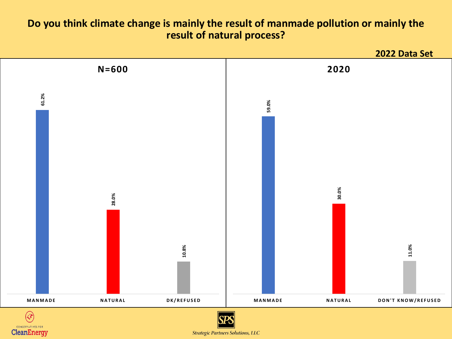#### **Do you think climate change is mainly the result of manmade pollution or mainly the result of natural process?**



**Strategic Partners Solutions, LLC**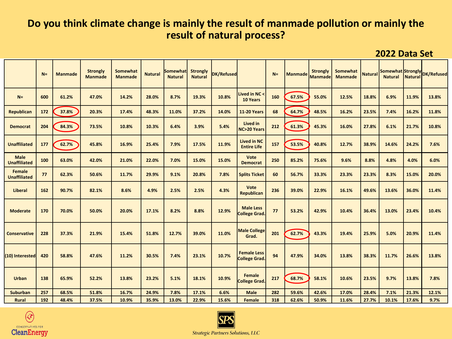#### **Do you think climate change is mainly the result of manmade pollution or mainly the result of natural process?**

**2022 Data Set**

|                                    | $N =$ | <b>Manmade</b> | <b>Strongly</b><br><b>Manmade</b> | Somewhat<br><b>Manmade</b> | <b>Natural</b> | Somewhat<br><b>Natural</b> | <b>Strongly</b><br><b>Natural</b> | DK/Refused |                                            | $N=$ | Manmade | <b>Strongly</b><br><b>Manmade</b> | Somewhat<br><b>Manmade</b> | <b>Natural</b> |       |       | Somewhat Strongly DK/Refused |
|------------------------------------|-------|----------------|-----------------------------------|----------------------------|----------------|----------------------------|-----------------------------------|------------|--------------------------------------------|------|---------|-----------------------------------|----------------------------|----------------|-------|-------|------------------------------|
| $N=$                               | 600   | 61.2%          | 47.0%                             | 14.2%                      | 28.0%          | 8.7%                       | 19.3%                             | 10.8%      | Lived in NC <<br>10 Years                  | 160  | 67.5%   | 55.0%                             | 12.5%                      | 18.8%          | 6.9%  | 11.9% | 13.8%                        |
| <b>Republican</b>                  | 172   | 37.8%          | 20.3%                             | 17.4%                      | 48.3%          | 11.0%                      | 37.2%                             | 14.0%      | <b>11-20 Years</b>                         | 68   | 64.7%   | 48.5%                             | 16.2%                      | 23.5%          | 7.4%  | 16.2% | 11.8%                        |
| <b>Democrat</b>                    | 204   | 84.3%          | 73.5%                             | 10.8%                      | 10.3%          | 6.4%                       | 3.9%                              | 5.4%       | Lived in<br><b>NC&gt;20 Years</b>          | 212  | 61.3%   | 45.3%                             | 16.0%                      | 27.8%          | 6.1%  | 21.7% | 10.8%                        |
| <b>Unaffiliated</b>                | 177   | 62.7%          | 45.8%                             | 16.9%                      | 25.4%          | 7.9%                       | 17.5%                             | 11.9%      | <b>Lived in NC</b><br><b>Entire Life</b>   | 157  | 53.5%   | 40.8%                             | 12.7%                      | 38.9%          | 14.6% | 24.2% | 7.6%                         |
| <b>Male</b><br><b>Unaffiliated</b> | 100   | 63.0%          | 42.0%                             | 21.0%                      | 22.0%          | 7.0%                       | 15.0%                             | 15.0%      | Vote<br><b>Democrat</b>                    | 250  | 85.2%   | 75.6%                             | 9.6%                       | 8.8%           | 4.8%  | 4.0%  | 6.0%                         |
| Female<br><b>Unaffiliated</b>      | 77    | 62.3%          | 50.6%                             | 11.7%                      | 29.9%          | 9.1%                       | 20.8%                             | 7.8%       | <b>Splits Ticket</b>                       | 60   | 56.7%   | 33.3%                             | 23.3%                      | 23.3%          | 8.3%  | 15.0% | 20.0%                        |
| <b>Liberal</b>                     | 162   | 90.7%          | 82.1%                             | 8.6%                       | 4.9%           | 2.5%                       | 2.5%                              | 4.3%       | Vote<br><b>Republican</b>                  | 236  | 39.0%   | 22.9%                             | 16.1%                      | 49.6%          | 13.6% | 36.0% | 11.4%                        |
| <b>Moderate</b>                    | 170   | 70.0%          | 50.0%                             | 20.0%                      | 17.1%          | 8.2%                       | 8.8%                              | 12.9%      | <b>Male Less</b><br><b>College Grad.</b>   | 77   | 53.2%   | 42.9%                             | 10.4%                      | 36.4%          | 13.0% | 23.4% | 10.4%                        |
| <b>Conservative</b>                | 228   | 37.3%          | 21.9%                             | 15.4%                      | 51.8%          | 12.7%                      | 39.0%                             | 11.0%      | <b>Male College</b><br>Grad.               | 201  | 62.7%   | 43.3%                             | 19.4%                      | 25.9%          | 5.0%  | 20.9% | 11.4%                        |
| (10) Interested                    | 420   | 58.8%          | 47.6%                             | 11.2%                      | 30.5%          | 7.4%                       | 23.1%                             | 10.7%      | <b>Female Less</b><br><b>College Grad.</b> | 94   | 47.9%   | 34.0%                             | 13.8%                      | 38.3%          | 11.7% | 26.6% | 13.8%                        |
| <b>Urban</b>                       | 138   | 65.9%          | 52.2%                             | 13.8%                      | 23.2%          | 5.1%                       | 18.1%                             | 10.9%      | Female<br><b>College Grad.</b>             | 217  | 68.7%   | 58.1%                             | 10.6%                      | 23.5%          | 9.7%  | 13.8% | 7.8%                         |
| <b>Suburban</b>                    | 257   | 68.5%          | 51.8%                             | 16.7%                      | 24.9%          | 7.8%                       | 17.1%                             | 6.6%       | <b>Male</b>                                | 282  | 59.6%   | 42.6%                             | 17.0%                      | 28.4%          | 7.1%  | 21.3% | 12.1%                        |
| <b>Rural</b>                       | 192   | 48.4%          | 37.5%                             | 10.9%                      | 35.9%          | 13.0%                      | 22.9%                             | 15.6%      | <b>Female</b>                              | 318  | 62.6%   | 50.9%                             | 11.6%                      | 27.7%          | 10.1% | 17.6% | 9.7%                         |



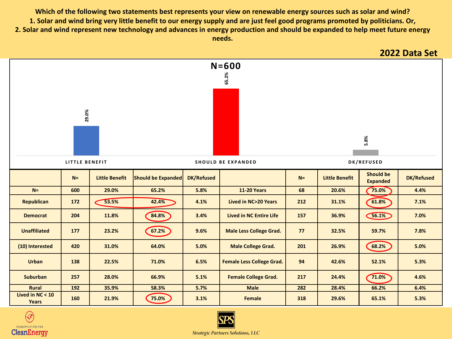**Which of the following two statements best represents your view on renewable energy sources such as solar and wind? 1. Solar and wind bring very little benefit to our energy supply and are just feel good programs promoted by politicians. Or, 2. Solar and wind represent new technology and advances in energy production and should be expanded to help meet future energy needs.**





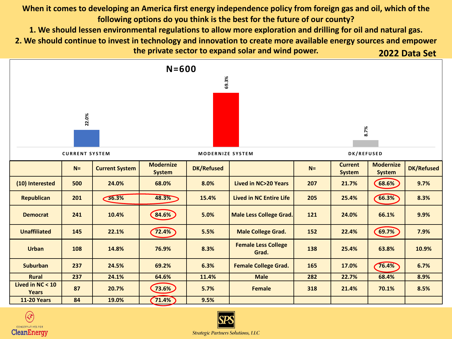**When it comes to developing an America first energy independence policy from foreign gas and oil, which of the following options do you think is the best for the future of our county?** 

**1. We should lessen environmental regulations to allow more exploration and drilling for oil and natural gas.**

**2. We should continue to invest in technology and innovation to create more available energy sources and empower the private sector to expand solar and wind power. 2022 Data Set**





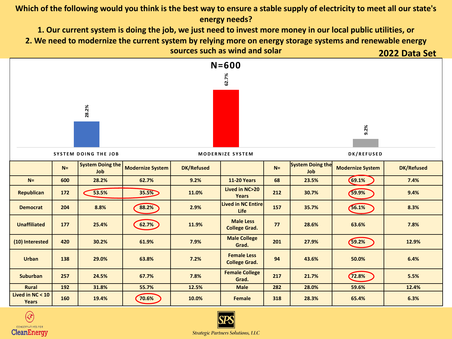#### **Which of the following would you think is the best way to ensure a stable supply of electricity to meet all our state's energy needs?**

**1. Our current system is doing the job, we just need to invest more money in our local public utilities, or 2. We need to modernize the current system by relying more on energy storage systems and renewable energy sources such as wind and solar 2022 Data Set**





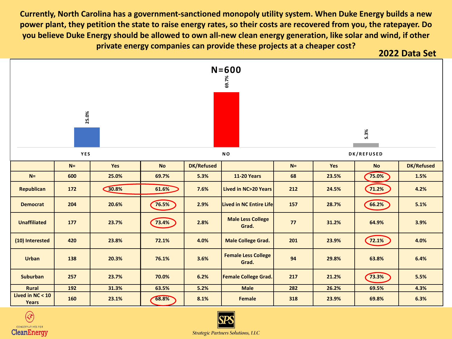**Currently, North Carolina has a government-sanctioned monopoly utility system. When Duke Energy builds a new power plant, they petition the state to raise energy rates, so their costs are recovered from you, the ratepayer. Do you believe Duke Energy should be allowed to own all-new clean energy generation, like solar and wind, if other private energy companies can provide these projects at a cheaper cost? 2022 Data Set**







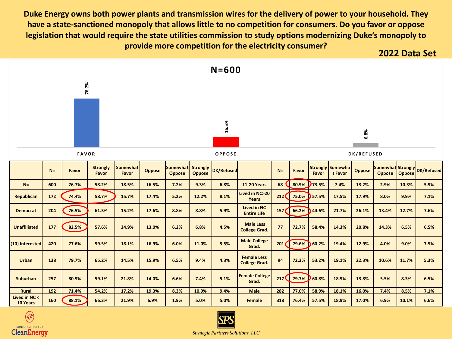**Duke Energy owns both power plants and transmission wires for the delivery of power to your household. They have a state-sanctioned monopoly that allows little to no competition for consumers. Do you favor or oppose legislation that would require the state utilities commission to study options modernizing Duke's monopoly to provide more competition for the electricity consumer? 2022 Data Set**







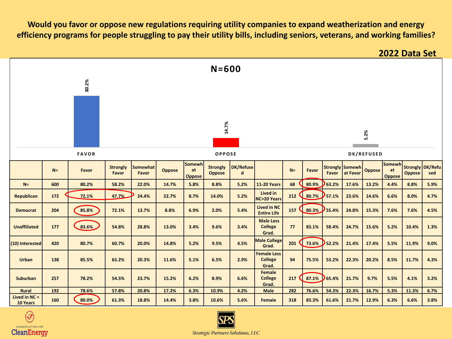**Would you favor or oppose new regulations requiring utility companies to expand weatherization and energy efficiency programs for people struggling to pay their utility bills, including seniors, veterans, and working families?**

**2022 Data Set**





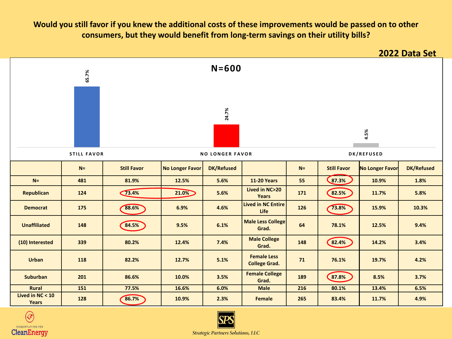#### **Would you still favor if you knew the additional costs of these improvements would be passed on to other consumers, but they would benefit from long-term savings on their utility bills?**





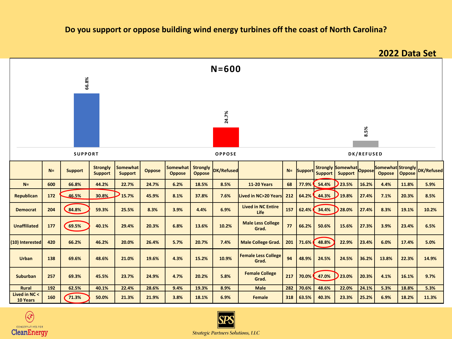#### **Do you support or oppose building wind energy turbines off the coast of North Carolina?**

**N= Support Strongly Support Somewhat Support Oppose Somewhat Oppose Strongly Oppose DK/Refused N= Support Strongly Support Somewhat** Oppose **Support Oppose Somewhat Strongly Oppose Oppose DK/Refused** N= | 600 | 66.8% | 44.2% | 22.7% | 24.7% | 6.2% | 18.5% | 8.5% | 11-20 Years | 68 | 77.9% 54.4% | 23.5% |16.2%| 4.4% |11.8% | 5.9% 8.5% | 30.8% | 30.8% | 15.7% | 45.9% | 8.1% | 37.8% | 7.6% |Lived in NC>20 Years | 212 | 64.2% | 44.3% | 21.4% | 27.4% | 7.1% | 20.3% | 8.5% **Democrat <sup>204</sup> 84.8% 59.3% 25.5% 8.3% 3.9% 4.4% 6.9% Lived in NC Entire Life <sup>157</sup> 62.4% 34.4% 28.0% 27.4% 8.3% 19.1% 10.2% Unaffiliated <sup>177</sup> 69.5% 40.1% 29.4% 20.3% 6.8% 13.6% 10.2% Male Less College Grad. <sup>77</sup> 66.2% 50.6% 15.6% 27.3% 3.9% 23.4% 6.5%** (10) Interested| 420 | 66.2% | 46.2% | 20.0% | 26.4% | 5.7% | 20.7% | 7.4% |Male College Grad. |201 |71.6% ( 48.8% ) 22.9% |23.4% | 6.0% |17.4% | 5.0% **Urban <sup>138</sup> 69.6% 48.6% 21.0% 19.6% 4.3% 15.2% 10.9% Female Less College Grad. <sup>94</sup> 48.9% 24.5% 24.5% 36.2% 13.8% 22.3% 14.9% Suburban 257 69.3% 45.5% 23.7% 24.9% 4.7% 20.2% 5.8% Female College Grad. <sup>217</sup> 70.0% 47.0% 23.0% 20.3% 4.1% 16.1% 9.7% Rural 192 62.5% 40.1% 22.4% 28.6% 9.4% 19.3% 8.9% Male 282 70.6% 48.6% 22.0% 24.1% 5.3% 18.8% 5.3% Lived in NC <**   $\frac{10 \text{ years}}{10 \text{ years}}$  160  $\left( \frac{71.3\%}{10 \text{ years}} \right)$  50.0%  $\left| \frac{21.3\%}{10 \text{ years}} \right|$  3.8%  $\left| \frac{3.8\%}{10 \text{ years}} \right|$  50.0%  $\left| \frac{25.2\%}{10 \text{ years}} \right|$  50.0%  $\left| \frac{25.2\%}{10 \text{ years}} \right|$  50.0%  $\left| \frac{11.3\%}{11.3\%} \right|$ **2022 Data Set 66.8% 24.7% 8.5% SUPPORT OPPOSE DK/REFUSED N=600**



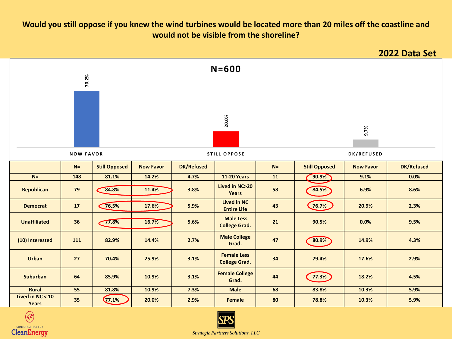#### **Would you still oppose if you knew the wind turbines would be located more than 20 miles off the coastline and would not be visible from the shoreline?**





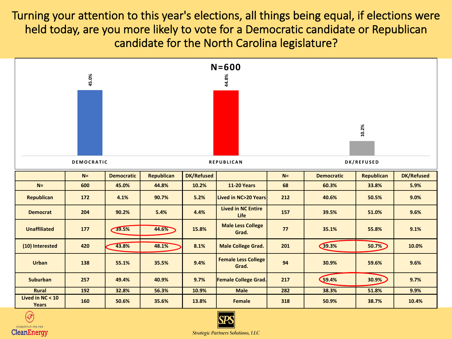Turning your attention to this year's elections, all things being equal, if elections were held today, are you more likely to vote for a Democratic candidate or Republican candidate for the North Carolina legislature?





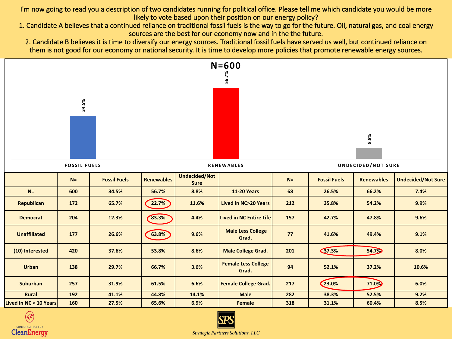I'm now going to read you a description of two candidates running for political office. Please tell me which candidate you would be more likely to vote based upon their position on our energy policy?

- 1. Candidate A believes that a continued reliance on traditional fossil fuels is the way to go for the future. Oil, natural gas, and coal energy sources are the best for our economy now and in the the future.
	- 2. Candidate B believes it is time to diversify our energy sources. Traditional fossil fuels have served us well, but continued reliance on them is not good for our economy or national security. It is time to develop more policies that promote renewable energy sources.





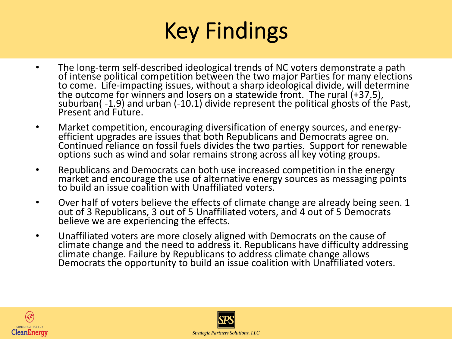# Key Findings

- The long-term self-described ideological trends of NC voters demonstrate a path of intense political competition between the two major Parties for many elections to come. Life-impacting issues, without a sharp ideological divide, will determine the outcome for winners and losers on a statewide front. The rural (+37.5), suburban( -1.9) and urban (-10.1) divide represent the political ghosts of the Past, Present and Future.
- Market competition, encouraging diversification of energy sources, and energy-<br>efficient upgrades are issues that both Republicans and Democrats agree on. Continued reliance on fossil fuels divides the two parties. Support for renewable options such as wind and solar remains strong across all key voting groups.
- Republicans and Democrats can both use increased competition in the energy market and encourage the use of alternative energy sources as messaging points to build an issue coalition with Unaffiliated voters.
- Over half of voters believe the effects of climate change are already being seen. 1 out of 3 Republicans, 3 out of 5 Unaffiliated voters, and 4 out of 5 Democrats believe we are experiencing the effects.
- Unaffiliated voters are more closely aligned with Democrats on the cause of climate change and the need to address it. Republicans have difficulty addressing climate change. Failure by Republicans to address climate change allows Democrats the opportunity to build an issue coalition with Unaffiliated voters.



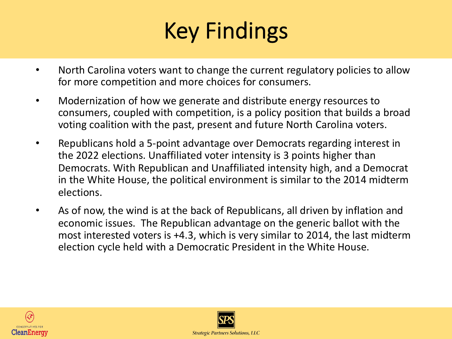# Key Findings

- North Carolina voters want to change the current regulatory policies to allow for more competition and more choices for consumers.
- Modernization of how we generate and distribute energy resources to consumers, coupled with competition, is a policy position that builds a broad voting coalition with the past, present and future North Carolina voters.
- Republicans hold a 5-point advantage over Democrats regarding interest in the 2022 elections. Unaffiliated voter intensity is 3 points higher than Democrats. With Republican and Unaffiliated intensity high, and a Democrat in the White House, the political environment is similar to the 2014 midterm elections.
- As of now, the wind is at the back of Republicans, all driven by inflation and economic issues. The Republican advantage on the generic ballot with the most interested voters is +4.3, which is very similar to 2014, the last midterm election cycle held with a Democratic President in the White House.